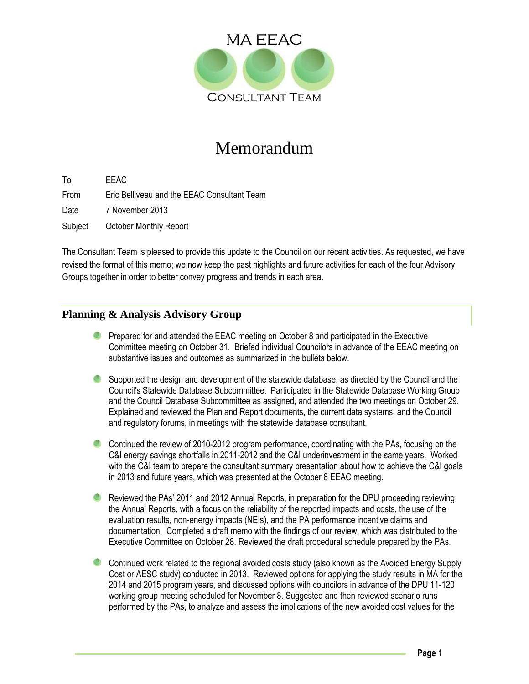

# Memorandum

To EEAC From Eric Belliveau and the EEAC Consultant Team Date 7 November 2013 Subject October Monthly Report

The Consultant Team is pleased to provide this update to the Council on our recent activities. As requested, we have revised the format of this memo; we now keep the past highlights and future activities for each of the four Advisory Groups together in order to better convey progress and trends in each area.

## **Planning & Analysis Advisory Group**

- **Prepared for and attended the EEAC meeting on October 8 and participated in the Executive** Committee meeting on October 31. Briefed individual Councilors in advance of the EEAC meeting on substantive issues and outcomes as summarized in the bullets below.
- Supported the design and development of the statewide database, as directed by the Council and the Council's Statewide Database Subcommittee. Participated in the Statewide Database Working Group and the Council Database Subcommittee as assigned, and attended the two meetings on October 29. Explained and reviewed the Plan and Report documents, the current data systems, and the Council and regulatory forums, in meetings with the statewide database consultant.
- Continued the review of 2010-2012 program performance, coordinating with the PAs, focusing on the C&I energy savings shortfalls in 2011-2012 and the C&I underinvestment in the same years. Worked with the C&I team to prepare the consultant summary presentation about how to achieve the C&I goals in 2013 and future years, which was presented at the October 8 EEAC meeting.
- **C** Reviewed the PAs' 2011 and 2012 Annual Reports, in preparation for the DPU proceeding reviewing the Annual Reports, with a focus on the reliability of the reported impacts and costs, the use of the evaluation results, non-energy impacts (NEIs), and the PA performance incentive claims and documentation. Completed a draft memo with the findings of our review, which was distributed to the Executive Committee on October 28. Reviewed the draft procedural schedule prepared by the PAs.
- Continued work related to the regional avoided costs study (also known as the Avoided Energy Supply Cost or AESC study) conducted in 2013. Reviewed options for applying the study results in MA for the 2014 and 2015 program years, and discussed options with councilors in advance of the DPU 11-120 working group meeting scheduled for November 8. Suggested and then reviewed scenario runs performed by the PAs, to analyze and assess the implications of the new avoided cost values for the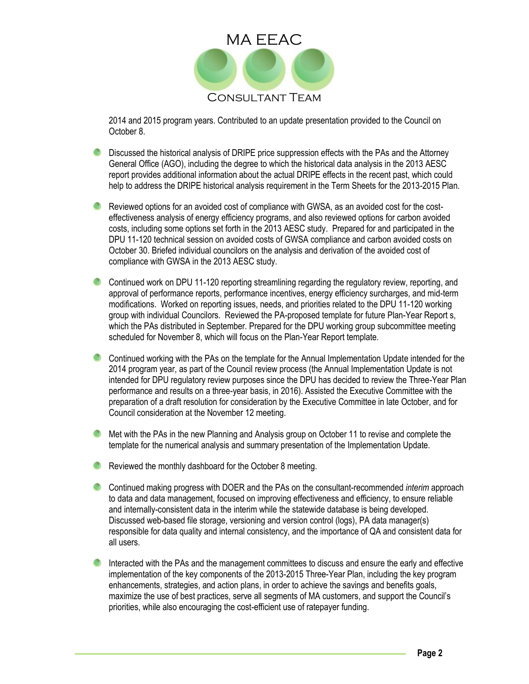

2014 and 2015 program years. Contributed to an update presentation provided to the Council on October 8.

- Discussed the historical analysis of DRIPE price suppression effects with the PAs and the Attorney General Office (AGO), including the degree to which the historical data analysis in the 2013 AESC report provides additional information about the actual DRIPE effects in the recent past, which could help to address the DRIPE historical analysis requirement in the Term Sheets for the 2013-2015 Plan.
- **C** Reviewed options for an avoided cost of compliance with GWSA, as an avoided cost for the costeffectiveness analysis of energy efficiency programs, and also reviewed options for carbon avoided costs, including some options set forth in the 2013 AESC study. Prepared for and participated in the DPU 11-120 technical session on avoided costs of GWSA compliance and carbon avoided costs on October 30. Briefed individual councilors on the analysis and derivation of the avoided cost of compliance with GWSA in the 2013 AESC study.
- Continued work on DPU 11-120 reporting streamlining regarding the regulatory review, reporting, and approval of performance reports, performance incentives, energy efficiency surcharges, and mid-term modifications. Worked on reporting issues, needs, and priorities related to the DPU 11-120 working group with individual Councilors. Reviewed the PA-proposed template for future Plan-Year Report s, which the PAs distributed in September. Prepared for the DPU working group subcommittee meeting scheduled for November 8, which will focus on the Plan-Year Report template.
- Continued working with the PAs on the template for the Annual Implementation Update intended for the 2014 program year, as part of the Council review process (the Annual Implementation Update is not intended for DPU regulatory review purposes since the DPU has decided to review the Three-Year Plan performance and results on a three-year basis, in 2016). Assisted the Executive Committee with the preparation of a draft resolution for consideration by the Executive Committee in late October, and for Council consideration at the November 12 meeting.
- **C** Met with the PAs in the new Planning and Analysis group on October 11 to revise and complete the template for the numerical analysis and summary presentation of the Implementation Update.
- **C** Reviewed the monthly dashboard for the October 8 meeting.
- Continued making progress with DOER and the PAs on the consultant-recommended *interim* approach to data and data management, focused on improving effectiveness and efficiency, to ensure reliable and internally-consistent data in the interim while the statewide database is being developed. Discussed web-based file storage, versioning and version control (logs), PA data manager(s) responsible for data quality and internal consistency, and the importance of QA and consistent data for all users.
- Interacted with the PAs and the management committees to discuss and ensure the early and effective implementation of the key components of the 2013-2015 Three-Year Plan, including the key program enhancements, strategies, and action plans, in order to achieve the savings and benefits goals, maximize the use of best practices, serve all segments of MA customers, and support the Council's priorities, while also encouraging the cost-efficient use of ratepayer funding.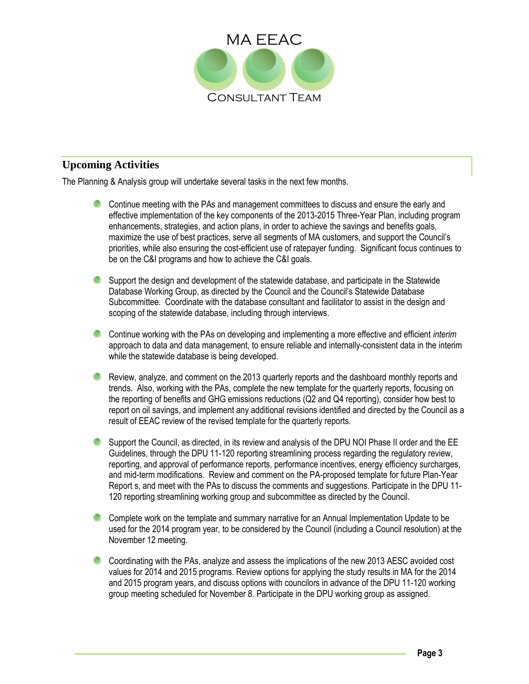

## **Upcoming Activities**

The Planning & Analysis group will undertake several tasks in the next few months.

- Continue meeting with the PAs and management committees to discuss and ensure the early and effective implementation of the key components of the 2013-2015 Three-Year Plan, including program enhancements, strategies, and action plans, in order to achieve the savings and benefits goals, maximize the use of best practices, serve all segments of MA customers, and support the Council's priorities, while also ensuring the cost-efficient use of ratepayer funding. Significant focus continues to be on the C&I programs and how to achieve the C&I goals.
- Support the design and development of the statewide database, and participate in the Statewide Database Working Group, as directed by the Council and the Council's Statewide Database Subcommittee. Coordinate with the database consultant and facilitator to assist in the design and scoping of the statewide database, including through interviews.
- Continue working with the PAs on developing and implementing a more effective and efficient *interim* approach to data and data management, to ensure reliable and internally-consistent data in the interim while the statewide database is being developed.
- Review, analyze, and comment on the 2013 quarterly reports and the dashboard monthly reports and trends. Also, working with the PAs, complete the new template for the quarterly reports, focusing on the reporting of benefits and GHG emissions reductions (Q2 and Q4 reporting), consider how best to report on oil savings, and implement any additional revisions identified and directed by the Council as a result of EEAC review of the revised template for the quarterly reports.
- Support the Council, as directed, in its review and analysis of the DPU NOI Phase II order and the EE Guidelines, through the DPU 11-120 reporting streamlining process regarding the regulatory review, reporting, and approval of performance reports, performance incentives, energy efficiency surcharges, and mid-term modifications. Review and comment on the PA-proposed template for future Plan-Year Report s, and meet with the PAs to discuss the comments and suggestions. Participate in the DPU 11- 120 reporting streamlining working group and subcommittee as directed by the Council.
- Complete work on the template and summary narrative for an Annual Implementation Update to be used for the 2014 program year, to be considered by the Council (including a Council resolution) at the November 12 meeting.
- Coordinating with the PAs, analyze and assess the implications of the new 2013 AESC avoided cost values for 2014 and 2015 programs. Review options for applying the study results in MA for the 2014 and 2015 program years, and discuss options with councilors in advance of the DPU 11-120 working group meeting scheduled for November 8. Participate in the DPU working group as assigned.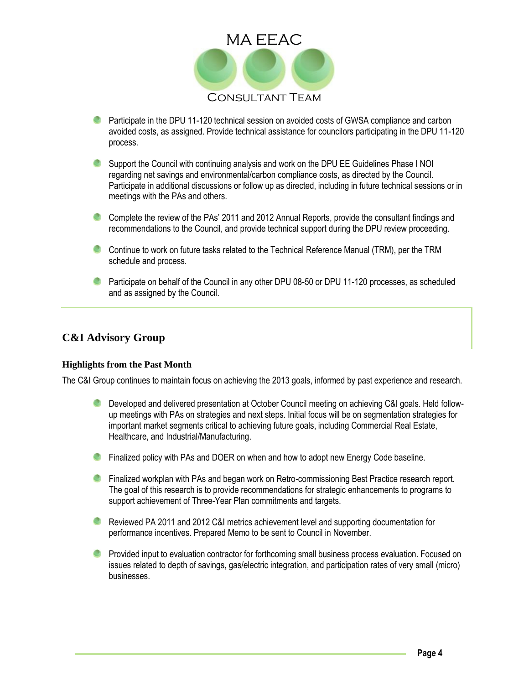

- **C** Participate in the DPU 11-120 technical session on avoided costs of GWSA compliance and carbon avoided costs, as assigned. Provide technical assistance for councilors participating in the DPU 11-120 process.
- Support the Council with continuing analysis and work on the DPU EE Guidelines Phase I NOI regarding net savings and environmental/carbon compliance costs, as directed by the Council. Participate in additional discussions or follow up as directed, including in future technical sessions or in meetings with the PAs and others.
- Complete the review of the PAs' 2011 and 2012 Annual Reports, provide the consultant findings and recommendations to the Council, and provide technical support during the DPU review proceeding.
- Continue to work on future tasks related to the Technical Reference Manual (TRM), per the TRM schedule and process.
- **Participate on behalf of the Council in any other DPU 08-50 or DPU 11-120 processes, as scheduled** and as assigned by the Council.

## **C&I Advisory Group**

#### **Highlights from the Past Month**

The C&I Group continues to maintain focus on achieving the 2013 goals, informed by past experience and research.

- **C** Developed and delivered presentation at October Council meeting on achieving C&I goals. Held followup meetings with PAs on strategies and next steps. Initial focus will be on segmentation strategies for important market segments critical to achieving future goals, including Commercial Real Estate, Healthcare, and Industrial/Manufacturing.
- **C** Finalized policy with PAs and DOER on when and how to adopt new Energy Code baseline.
- **C** Finalized workplan with PAs and began work on Retro-commissioning Best Practice research report. The goal of this research is to provide recommendations for strategic enhancements to programs to support achievement of Three-Year Plan commitments and targets.
- **C** Reviewed PA 2011 and 2012 C&I metrics achievement level and supporting documentation for performance incentives. Prepared Memo to be sent to Council in November.
- **P** Provided input to evaluation contractor for forthcoming small business process evaluation. Focused on issues related to depth of savings, gas/electric integration, and participation rates of very small (micro) businesses.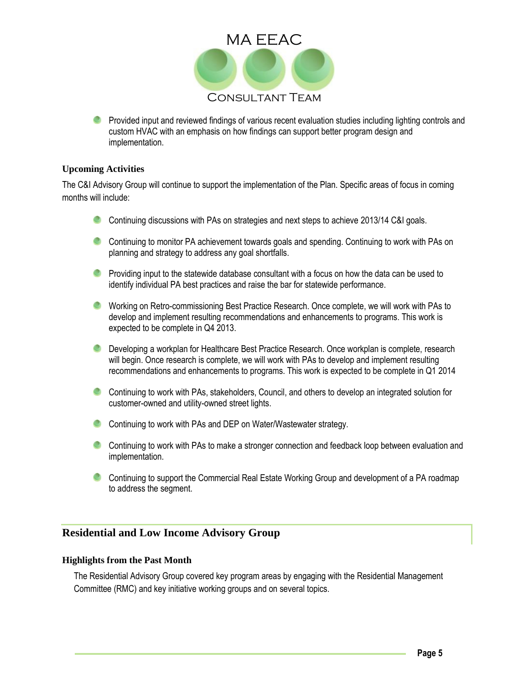

**Provided input and reviewed findings of various recent evaluation studies including lighting controls and** custom HVAC with an emphasis on how findings can support better program design and implementation.

#### **Upcoming Activities**

The C&I Advisory Group will continue to support the implementation of the Plan. Specific areas of focus in coming months will include:

- Continuing discussions with PAs on strategies and next steps to achieve 2013/14 C&I goals.
- Continuing to monitor PA achievement towards goals and spending. Continuing to work with PAs on planning and strategy to address any goal shortfalls.
- **Providing input to the statewide database consultant with a focus on how the data can be used to** identify individual PA best practices and raise the bar for statewide performance.
- Working on Retro-commissioning Best Practice Research. Once complete, we will work with PAs to develop and implement resulting recommendations and enhancements to programs. This work is expected to be complete in Q4 2013.
- **C** Developing a workplan for Healthcare Best Practice Research. Once workplan is complete, research will begin. Once research is complete, we will work with PAs to develop and implement resulting recommendations and enhancements to programs. This work is expected to be complete in Q1 2014
- Continuing to work with PAs, stakeholders, Council, and others to develop an integrated solution for customer-owned and utility-owned street lights.
- Continuing to work with PAs and DEP on Water/Wastewater strategy.
- Continuing to work with PAs to make a stronger connection and feedback loop between evaluation and implementation.
- Continuing to support the Commercial Real Estate Working Group and development of a PA roadmap to address the segment.

## **Residential and Low Income Advisory Group**

#### **Highlights from the Past Month**

The Residential Advisory Group covered key program areas by engaging with the Residential Management Committee (RMC) and key initiative working groups and on several topics.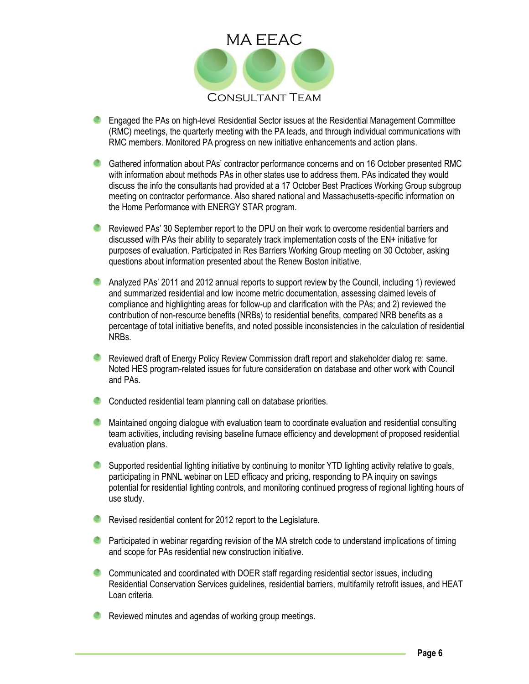

- Engaged the PAs on high-level Residential Sector issues at the Residential Management Committee (RMC) meetings, the quarterly meeting with the PA leads, and through individual communications with RMC members. Monitored PA progress on new initiative enhancements and action plans.
- Gathered information about PAs' contractor performance concerns and on 16 October presented RMC with information about methods PAs in other states use to address them. PAs indicated they would discuss the info the consultants had provided at a 17 October Best Practices Working Group subgroup meeting on contractor performance. Also shared national and Massachusetts-specific information on the Home Performance with ENERGY STAR program.
- **C** Reviewed PAs' 30 September report to the DPU on their work to overcome residential barriers and discussed with PAs their ability to separately track implementation costs of the EN+ initiative for purposes of evaluation. Participated in Res Barriers Working Group meeting on 30 October, asking questions about information presented about the Renew Boston initiative.
- **C** Analyzed PAs' 2011 and 2012 annual reports to support review by the Council, including 1) reviewed and summarized residential and low income metric documentation, assessing claimed levels of compliance and highlighting areas for follow-up and clarification with the PAs; and 2) reviewed the contribution of non-resource benefits (NRBs) to residential benefits, compared NRB benefits as a percentage of total initiative benefits, and noted possible inconsistencies in the calculation of residential NRBs.
- Reviewed draft of Energy Policy Review Commission draft report and stakeholder dialog re: same. Noted HES program-related issues for future consideration on database and other work with Council and PAs.
- Conducted residential team planning call on database priorities.
- **C** Maintained ongoing dialogue with evaluation team to coordinate evaluation and residential consulting team activities, including revising baseline furnace efficiency and development of proposed residential evaluation plans.
- Supported residential lighting initiative by continuing to monitor YTD lighting activity relative to goals, participating in PNNL webinar on LED efficacy and pricing, responding to PA inquiry on savings potential for residential lighting controls, and monitoring continued progress of regional lighting hours of use study.
- **C** Revised residential content for 2012 report to the Legislature.
- **C** Participated in webinar regarding revision of the MA stretch code to understand implications of timing and scope for PAs residential new construction initiative.
- Communicated and coordinated with DOER staff regarding residential sector issues, including Residential Conservation Services guidelines, residential barriers, multifamily retrofit issues, and HEAT Loan criteria.
- **C** Reviewed minutes and agendas of working group meetings.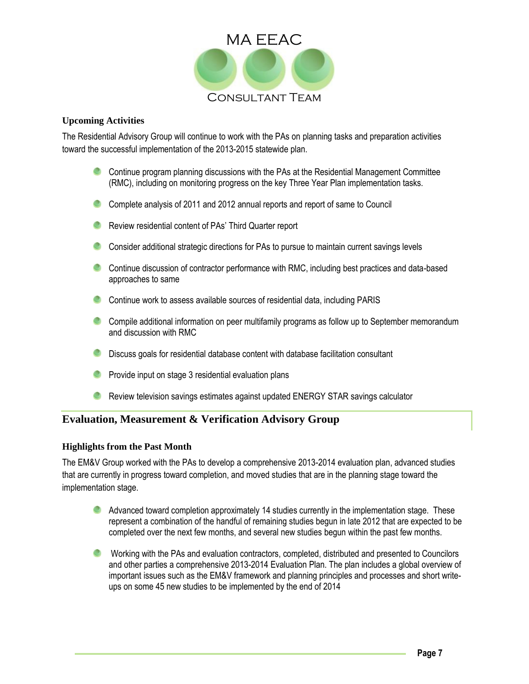

#### **Upcoming Activities**

The Residential Advisory Group will continue to work with the PAs on planning tasks and preparation activities toward the successful implementation of the 2013-2015 statewide plan.

- Continue program planning discussions with the PAs at the Residential Management Committee (RMC), including on monitoring progress on the key Three Year Plan implementation tasks.
- Complete analysis of 2011 and 2012 annual reports and report of same to Council
- **C** Review residential content of PAs' Third Quarter report
- Consider additional strategic directions for PAs to pursue to maintain current savings levels
- Continue discussion of contractor performance with RMC, including best practices and data-based approaches to same
- Continue work to assess available sources of residential data, including PARIS
- Compile additional information on peer multifamily programs as follow up to September memorandum and discussion with RMC
- **C** Discuss goals for residential database content with database facilitation consultant
- **Provide input on stage 3 residential evaluation plans**
- **C** Review television savings estimates against updated ENERGY STAR savings calculator

## **Evaluation, Measurement & Verification Advisory Group**

### **Highlights from the Past Month**

The EM&V Group worked with the PAs to develop a comprehensive 2013-2014 evaluation plan, advanced studies that are currently in progress toward completion, and moved studies that are in the planning stage toward the implementation stage.

- Advanced toward completion approximately 14 studies currently in the implementation stage. These represent a combination of the handful of remaining studies begun in late 2012 that are expected to be completed over the next few months, and several new studies begun within the past few months.
- Working with the PAs and evaluation contractors, completed, distributed and presented to Councilors and other parties a comprehensive 2013-2014 Evaluation Plan. The plan includes a global overview of important issues such as the EM&V framework and planning principles and processes and short writeups on some 45 new studies to be implemented by the end of 2014